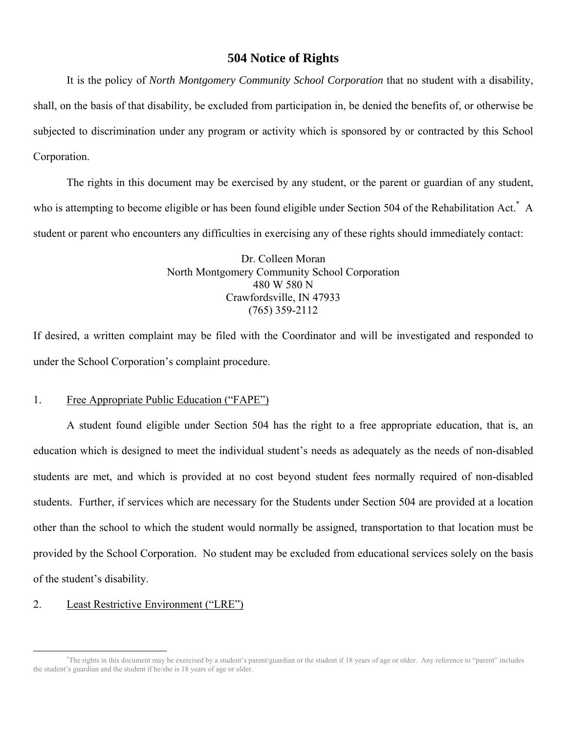# **504 Notice of Rights**

 It is the policy of *North Montgomery Community School Corporation* that no student with a disability, shall, on the basis of that disability, be excluded from participation in, be denied the benefits of, or otherwise be subjected to discrimination under any program or activity which is sponsored by or contracted by this School Corporation.

 The rights in this document may be exercised by any student, or the parent or guardian of any student, who is attempting to become eligible or has been found eligible under Section 504 of the Rehabilitation Act.<sup>\*</sup> A student or parent who encounters any difficulties in exercising any of these rights should immediately contact:

> Dr. Colleen Moran North Montgomery Community School Corporation 480 W 580 N Crawfordsville, IN 47933 (765) 359-2112

If desired, a written complaint may be filed with the Coordinator and will be investigated and responded to under the School Corporation's complaint procedure.

#### 1. Free Appropriate Public Education ("FAPE")

 A student found eligible under Section 504 has the right to a free appropriate education, that is, an education which is designed to meet the individual student's needs as adequately as the needs of non-disabled students are met, and which is provided at no cost beyond student fees normally required of non-disabled students. Further, if services which are necessary for the Students under Section 504 are provided at a location other than the school to which the student would normally be assigned, transportation to that location must be provided by the School Corporation. No student may be excluded from educational services solely on the basis of the student's disability.

### 2. Least Restrictive Environment ("LRE")

 <sup>\*</sup> The rights in this document may be exercised by a student's parent/guardian or the student if 18 years of age or older. Any reference to "parent" includes the student's guardian and the student if he/she is 18 years of age or older.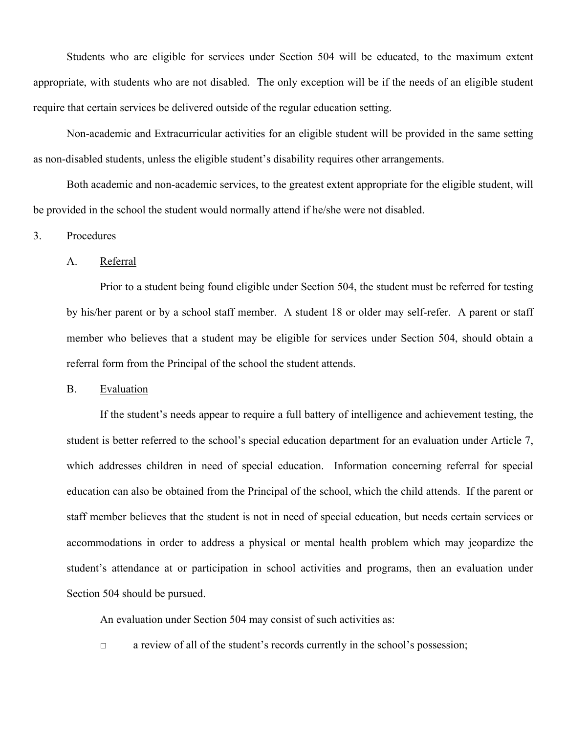Students who are eligible for services under Section 504 will be educated, to the maximum extent appropriate, with students who are not disabled. The only exception will be if the needs of an eligible student require that certain services be delivered outside of the regular education setting.

 Non-academic and Extracurricular activities for an eligible student will be provided in the same setting as non-disabled students, unless the eligible student's disability requires other arrangements.

 Both academic and non-academic services, to the greatest extent appropriate for the eligible student, will be provided in the school the student would normally attend if he/she were not disabled.

#### 3. Procedures

#### A. Referral

 Prior to a student being found eligible under Section 504, the student must be referred for testing by his/her parent or by a school staff member. A student 18 or older may self-refer. A parent or staff member who believes that a student may be eligible for services under Section 504, should obtain a referral form from the Principal of the school the student attends.

#### B. Evaluation

 If the student's needs appear to require a full battery of intelligence and achievement testing, the student is better referred to the school's special education department for an evaluation under Article 7, which addresses children in need of special education. Information concerning referral for special education can also be obtained from the Principal of the school, which the child attends. If the parent or staff member believes that the student is not in need of special education, but needs certain services or accommodations in order to address a physical or mental health problem which may jeopardize the student's attendance at or participation in school activities and programs, then an evaluation under Section 504 should be pursued.

An evaluation under Section 504 may consist of such activities as:

□ a review of all of the student's records currently in the school's possession;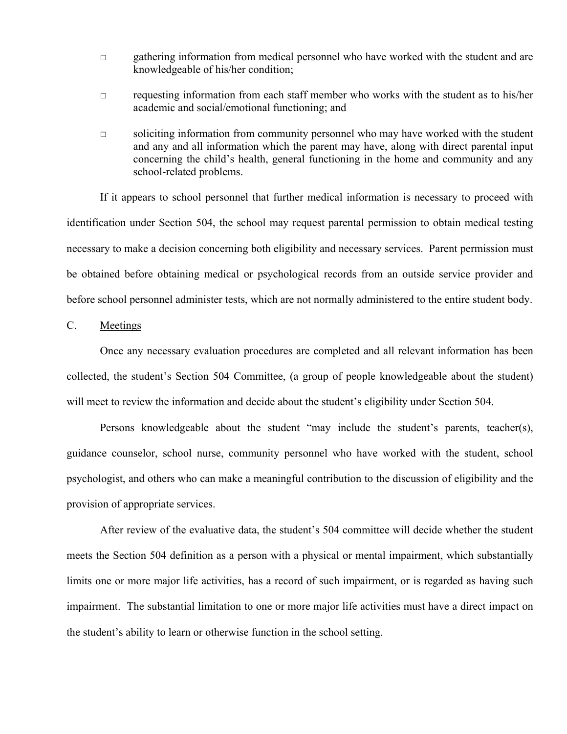- □ gathering information from medical personnel who have worked with the student and are knowledgeable of his/her condition;
- $\Box$  requesting information from each staff member who works with the student as to his/her academic and social/emotional functioning; and
- $\Box$  soliciting information from community personnel who may have worked with the student and any and all information which the parent may have, along with direct parental input concerning the child's health, general functioning in the home and community and any school-related problems.

 If it appears to school personnel that further medical information is necessary to proceed with identification under Section 504, the school may request parental permission to obtain medical testing necessary to make a decision concerning both eligibility and necessary services. Parent permission must be obtained before obtaining medical or psychological records from an outside service provider and before school personnel administer tests, which are not normally administered to the entire student body.

C. Meetings

 Once any necessary evaluation procedures are completed and all relevant information has been collected, the student's Section 504 Committee, (a group of people knowledgeable about the student) will meet to review the information and decide about the student's eligibility under Section 504.

 Persons knowledgeable about the student "may include the student's parents, teacher(s), guidance counselor, school nurse, community personnel who have worked with the student, school psychologist, and others who can make a meaningful contribution to the discussion of eligibility and the provision of appropriate services.

 After review of the evaluative data, the student's 504 committee will decide whether the student meets the Section 504 definition as a person with a physical or mental impairment, which substantially limits one or more major life activities, has a record of such impairment, or is regarded as having such impairment. The substantial limitation to one or more major life activities must have a direct impact on the student's ability to learn or otherwise function in the school setting.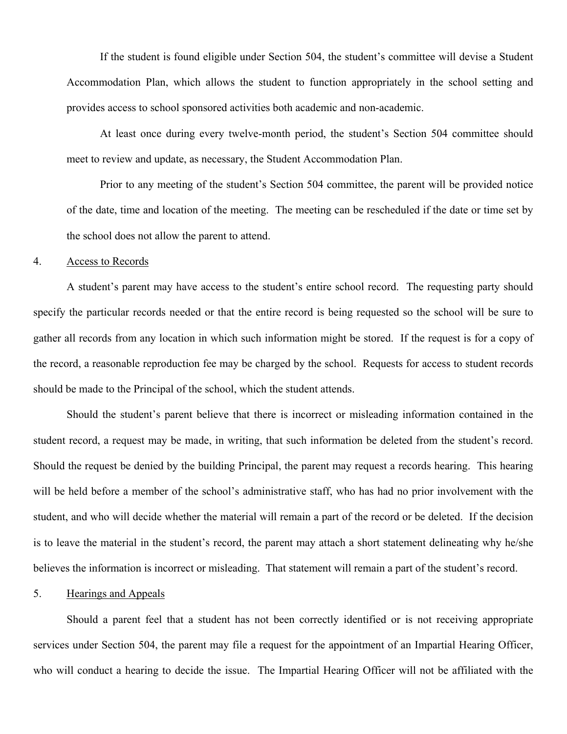If the student is found eligible under Section 504, the student's committee will devise a Student Accommodation Plan, which allows the student to function appropriately in the school setting and provides access to school sponsored activities both academic and non-academic.

 At least once during every twelve-month period, the student's Section 504 committee should meet to review and update, as necessary, the Student Accommodation Plan.

 Prior to any meeting of the student's Section 504 committee, the parent will be provided notice of the date, time and location of the meeting. The meeting can be rescheduled if the date or time set by the school does not allow the parent to attend.

#### 4. Access to Records

 A student's parent may have access to the student's entire school record. The requesting party should specify the particular records needed or that the entire record is being requested so the school will be sure to gather all records from any location in which such information might be stored. If the request is for a copy of the record, a reasonable reproduction fee may be charged by the school. Requests for access to student records should be made to the Principal of the school, which the student attends.

 Should the student's parent believe that there is incorrect or misleading information contained in the student record, a request may be made, in writing, that such information be deleted from the student's record. Should the request be denied by the building Principal, the parent may request a records hearing. This hearing will be held before a member of the school's administrative staff, who has had no prior involvement with the student, and who will decide whether the material will remain a part of the record or be deleted. If the decision is to leave the material in the student's record, the parent may attach a short statement delineating why he/she believes the information is incorrect or misleading. That statement will remain a part of the student's record.

### 5. Hearings and Appeals

 Should a parent feel that a student has not been correctly identified or is not receiving appropriate services under Section 504, the parent may file a request for the appointment of an Impartial Hearing Officer, who will conduct a hearing to decide the issue. The Impartial Hearing Officer will not be affiliated with the